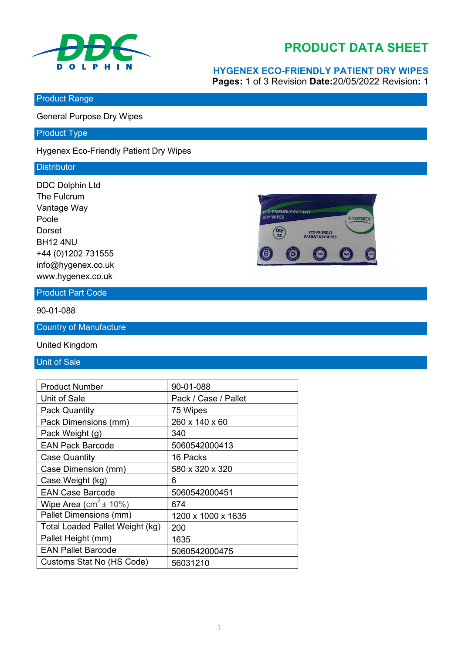

## **PRODUCT DATA SHEET**

# **HYGENEX ECO-FRIENDLY PATIENT DRY WIPES**

**Pages:** 1 of 3 Revision **Date:**20/05/2022 Revision**:** 1

Product Range

General Purpose Dry Wipes

Product Type

Hygenex Eco-Friendly Patient Dry Wipes

#### **Distributor**

DDC Dolphin Ltd The Fulcrum Vantage Way Poole Dorset BH12 4NU +44 (0)1202 731555 info@hygenex.co.uk www.hygenex.co.uk



Product Part Code

90-01-088

Country of Manufacture

United Kingdom

Unit of Sale

| <b>Product Number</b>             | 90-01-088            |
|-----------------------------------|----------------------|
| Unit of Sale                      | Pack / Case / Pallet |
| <b>Pack Quantity</b>              | 75 Wipes             |
| Pack Dimensions (mm)              | 260 x 140 x 60       |
| Pack Weight (g)                   | 340                  |
| <b>EAN Pack Barcode</b>           | 5060542000413        |
| <b>Case Quantity</b>              | 16 Packs             |
| Case Dimension (mm)               | 580 x 320 x 320      |
| Case Weight (kg)                  | 6                    |
| <b>EAN Case Barcode</b>           | 5060542000451        |
| Wipe Area (cm <sup>2</sup> ± 10%) | 674                  |
| Pallet Dimensions (mm)            | 1200 x 1000 x 1635   |
| Total Loaded Pallet Weight (kg)   | 200                  |
| Pallet Height (mm)                | 1635                 |
| <b>EAN Pallet Barcode</b>         | 5060542000475        |
| Customs Stat No (HS Code)         | 56031210             |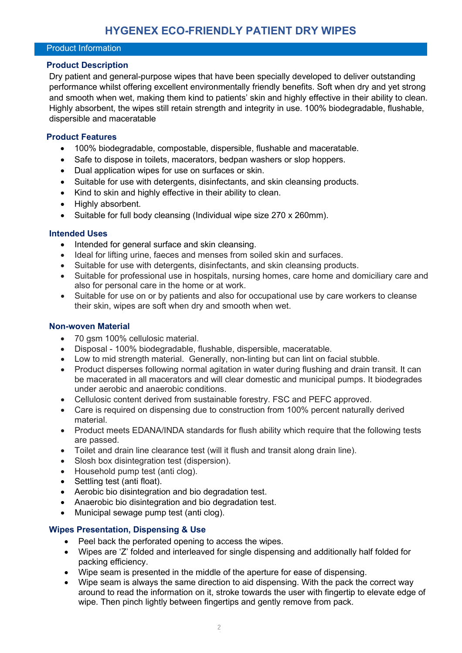#### Product Information

#### **Product Description**

Dry patient and general-purpose wipes that have been specially developed to deliver outstanding performance whilst offering excellent environmentally friendly benefits. Soft when dry and yet strong and smooth when wet, making them kind to patients' skin and highly effective in their ability to clean. Highly absorbent, the wipes still retain strength and integrity in use. 100% biodegradable, flushable, dispersible and maceratable

#### **Product Features**

- 100% biodegradable, compostable, dispersible, flushable and maceratable.
- Safe to dispose in toilets, macerators, bedpan washers or slop hoppers.
- Dual application wipes for use on surfaces or skin.
- Suitable for use with detergents, disinfectants, and skin cleansing products.
- Kind to skin and highly effective in their ability to clean.
- Highly absorbent.
- Suitable for full body cleansing (Individual wipe size 270 x 260mm).

#### **Intended Uses**

- Intended for general surface and skin cleansing.
- Ideal for lifting urine, faeces and menses from soiled skin and surfaces.
- Suitable for use with detergents, disinfectants, and skin cleansing products.
- Suitable for professional use in hospitals, nursing homes, care home and domiciliary care and also for personal care in the home or at work.
- Suitable for use on or by patients and also for occupational use by care workers to cleanse their skin, wipes are soft when dry and smooth when wet.

#### **Non-woven Material**

- 70 asm 100% cellulosic material.
- Disposal 100% biodegradable, flushable, dispersible, maceratable.
- Low to mid strength material. Generally, non-linting but can lint on facial stubble.
- Product disperses following normal agitation in water during flushing and drain transit. It can be macerated in all macerators and will clear domestic and municipal pumps. It biodegrades under aerobic and anaerobic conditions.
- Cellulosic content derived from sustainable forestry. FSC and PEFC approved.
- Care is required on dispensing due to construction from 100% percent naturally derived material.
- Product meets EDANA/INDA standards for flush ability which require that the following tests are passed.
- Toilet and drain line clearance test (will it flush and transit along drain line).
- Slosh box disintegration test (dispersion).
- Household pump test (anti clog).
- Settling test (anti float).
- Aerobic bio disintegration and bio degradation test.
- Anaerobic bio disintegration and bio degradation test.
- Municipal sewage pump test (anti clog).

#### **Wipes Presentation, Dispensing & Use**

- Peel back the perforated opening to access the wipes.
- Wipes are 'Z' folded and interleaved for single dispensing and additionally half folded for packing efficiency.
- Wipe seam is presented in the middle of the aperture for ease of dispensing.
- Wipe seam is always the same direction to aid dispensing. With the pack the correct way around to read the information on it, stroke towards the user with fingertip to elevate edge of wipe. Then pinch lightly between fingertips and gently remove from pack.